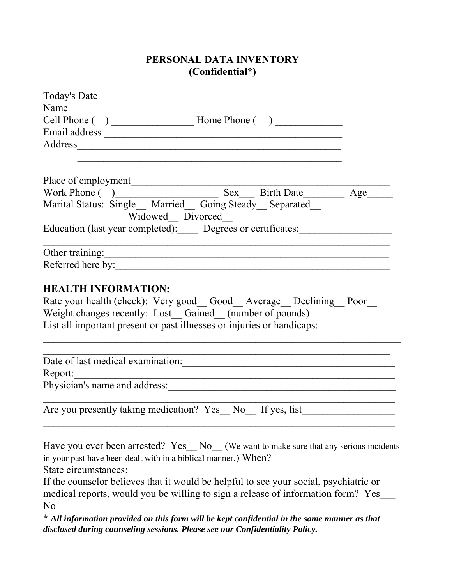### **PERSONAL DATA INVENTORY (Confidential\*)**

| Today's Date                                                                                                                                                                                                                                                                                                                               |  |
|--------------------------------------------------------------------------------------------------------------------------------------------------------------------------------------------------------------------------------------------------------------------------------------------------------------------------------------------|--|
| Name<br>$\overline{a}$ and $\overline{a}$ and $\overline{a}$ and $\overline{a}$ and $\overline{a}$ and $\overline{a}$ and $\overline{a}$ and $\overline{a}$ and $\overline{a}$ and $\overline{a}$ and $\overline{a}$ and $\overline{a}$ and $\overline{a}$ and $\overline{a}$ and $\overline{a}$ and $\overline{a}$ and $\overline{a}$ and |  |
|                                                                                                                                                                                                                                                                                                                                            |  |
|                                                                                                                                                                                                                                                                                                                                            |  |
|                                                                                                                                                                                                                                                                                                                                            |  |
|                                                                                                                                                                                                                                                                                                                                            |  |
|                                                                                                                                                                                                                                                                                                                                            |  |
|                                                                                                                                                                                                                                                                                                                                            |  |
| Place of employment<br>Work Phone ()<br>Marital Status: Single_Married_Going Steady_Separated_Marital Status: Single_Married_Going Steady_Separated_Mari<br>Widowed Divorced                                                                                                                                                               |  |
| Education (last year completed): Degrees or certificates:                                                                                                                                                                                                                                                                                  |  |
| Other training:                                                                                                                                                                                                                                                                                                                            |  |
| Referred here by:                                                                                                                                                                                                                                                                                                                          |  |
| Rate your health (check): Very good Good Average Declining Poor<br>Weight changes recently: Lost_Gained_(number of pounds)<br>List all important present or past illnesses or injuries or handicaps:                                                                                                                                       |  |
| Date of last medical examination:                                                                                                                                                                                                                                                                                                          |  |
| Report:<br><u> 1989 - Johann Stoff, deutscher Stoffen und der Stoffen und der Stoffen und der Stoffen und der Stoffen und d</u>                                                                                                                                                                                                            |  |
|                                                                                                                                                                                                                                                                                                                                            |  |
| Are you presently taking medication? Yes No If yes, list                                                                                                                                                                                                                                                                                   |  |
| Have you ever been arrested? Yes No (We want to make sure that any serious incidents<br>in your past have been dealt with in a biblical manner.) When?<br>State circumstances:                                                                                                                                                             |  |
| If the counselor believes that it would be helpful to see your social, psychiatric or<br>medical reports, would you be willing to sign a release of information form? Yes<br>No                                                                                                                                                            |  |

**\*** *All information provided on this form will be kept confidential in the same manner as that disclosed during counseling sessions. Please see our Confidentiality Policy.*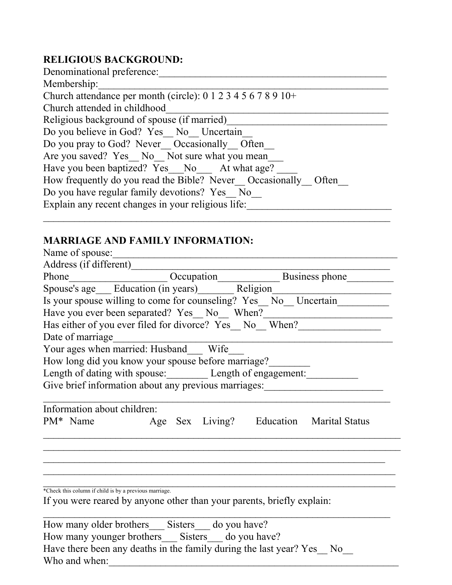## **RELIGIOUS BACKGROUND:**

| Denominational preference:                                                |
|---------------------------------------------------------------------------|
| Membership:                                                               |
| Church attendance per month (circle): $0\ 1\ 2\ 3\ 4\ 5\ 6\ 7\ 8\ 9\ 10+$ |
| Church attended in childhood                                              |
| Religious background of spouse (if married)                               |
| Do you believe in God? Yes No Uncertain                                   |
| Do you pray to God? Never Occasionally Often                              |
| Are you saved? Yes No Not sure what you mean                              |
| Have you been baptized? Yes No At what age?                               |
| How frequently do you read the Bible? Never Occasionally Often            |
| Do you have regular family devotions? Yes No                              |
| Explain any recent changes in your religious life:                        |
|                                                                           |

# **MARRIAGE AND FAMILY INFORMATION:**<br>Name of spouse:

|                                                        | Name of spouse:                                                        |  |  |                                                               |  |
|--------------------------------------------------------|------------------------------------------------------------------------|--|--|---------------------------------------------------------------|--|
|                                                        | Address (if different)                                                 |  |  |                                                               |  |
|                                                        |                                                                        |  |  |                                                               |  |
|                                                        |                                                                        |  |  |                                                               |  |
|                                                        |                                                                        |  |  |                                                               |  |
|                                                        |                                                                        |  |  |                                                               |  |
| Has either of you ever filed for divorce? Yes No When? |                                                                        |  |  |                                                               |  |
| Date of marriage                                       |                                                                        |  |  |                                                               |  |
|                                                        | Your ages when married: Husband Wife                                   |  |  |                                                               |  |
|                                                        | How long did you know your spouse before marriage?                     |  |  |                                                               |  |
|                                                        | Length of dating with spouse: Length of engagement:                    |  |  |                                                               |  |
|                                                        | Give brief information about any previous marriages:                   |  |  |                                                               |  |
|                                                        |                                                                        |  |  |                                                               |  |
|                                                        | Information about children:                                            |  |  |                                                               |  |
|                                                        |                                                                        |  |  | PM <sup>*</sup> Name Age Sex Living? Education Marital Status |  |
|                                                        |                                                                        |  |  |                                                               |  |
|                                                        |                                                                        |  |  |                                                               |  |
|                                                        |                                                                        |  |  |                                                               |  |
|                                                        |                                                                        |  |  |                                                               |  |
|                                                        | *Check this column if child is by a previous marriage.                 |  |  |                                                               |  |
|                                                        | If you were reared by anyone other than your parents, briefly explain: |  |  |                                                               |  |
|                                                        |                                                                        |  |  |                                                               |  |
|                                                        | How many older brothers Sisters do you have?                           |  |  |                                                               |  |
|                                                        | How many younger brothers Sisters do you have?                         |  |  |                                                               |  |
|                                                        | Have there been any deaths in the family during the last year? Yes No  |  |  |                                                               |  |
| Who and when:                                          |                                                                        |  |  |                                                               |  |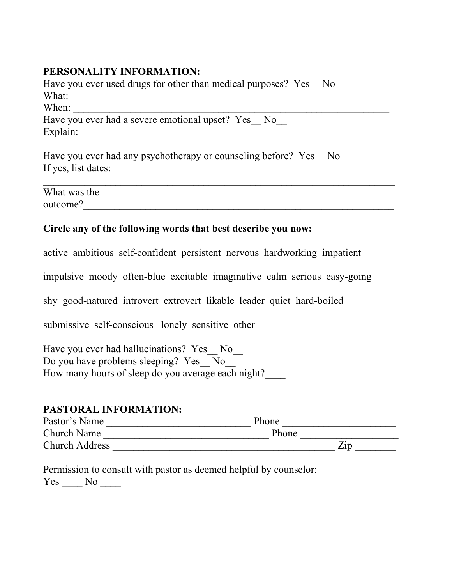### **PERSONALITY INFORMATION:**

Have you ever used drugs for other than medical purposes? Yes No What:\_\_\_\_\_\_\_\_\_\_\_\_\_\_\_\_\_\_\_\_\_\_\_\_\_\_\_\_\_\_\_\_\_\_\_\_\_\_\_\_\_\_\_\_\_\_\_\_\_\_\_\_\_\_\_\_\_\_\_\_\_\_  $When:$ Have you ever had a severe emotional upset? Yes No Explain:

Have you ever had any psychotherapy or counseling before? Yes No If yes, list dates:

What was the outcome?\_\_\_\_\_\_\_\_\_\_\_\_\_\_\_\_\_\_\_\_\_\_\_\_\_\_\_\_\_\_\_\_\_\_\_\_\_\_\_\_\_\_\_\_\_\_\_\_\_\_\_\_\_\_\_\_\_\_\_\_

#### **Circle any of the following words that best describe you now:**

active ambitious self-confident persistent nervous hardworking impatient

impulsive moody often-blue excitable imaginative calm serious easy-going

shy good-natured introvert extrovert likable leader quiet hard-boiled

submissive self-conscious lonely sensitive other

Have you ever had hallucinations? Yes No Do you have problems sleeping? Yes No How many hours of sleep do you average each night?\_\_\_\_

#### **PASTORAL INFORMATION:**

| Pastor's Name         | Phone             |
|-----------------------|-------------------|
| <b>Church Name</b>    | Phone             |
| <b>Church Address</b> | $\overline{Z}$ ip |

Permission to consult with pastor as deemed helpful by counselor: Yes No